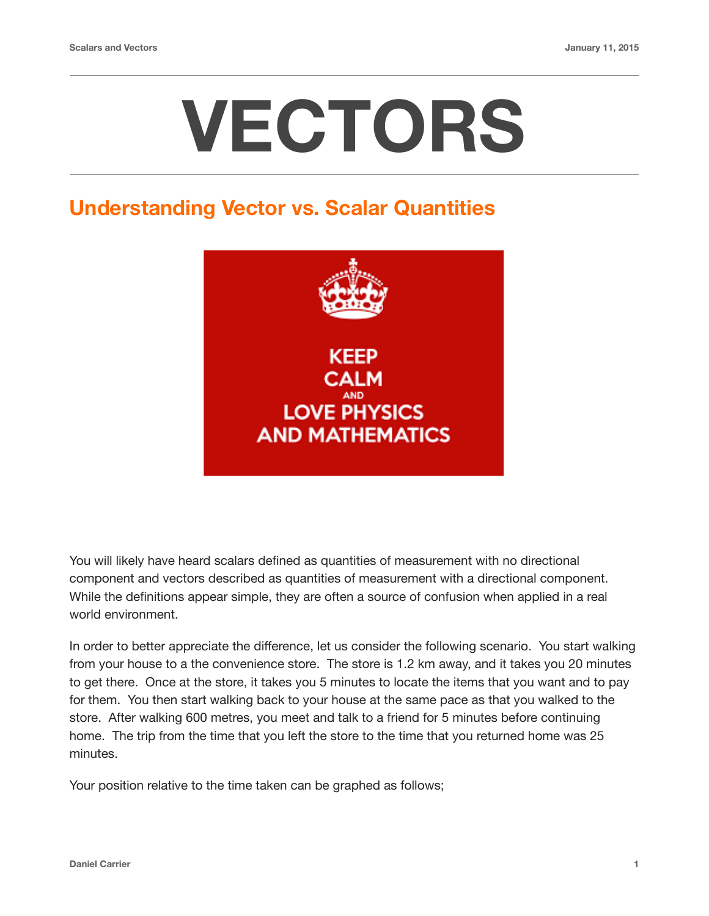# **VECTORS**

#### **Understanding Vector vs. Scalar Quantities**



You will likely have heard scalars defined as quantities of measurement with no directional component and vectors described as quantities of measurement with a directional component. While the definitions appear simple, they are often a source of confusion when applied in a real world environment.

In order to better appreciate the difference, let us consider the following scenario. You start walking from your house to a the convenience store. The store is 1.2 km away, and it takes you 20 minutes to get there. Once at the store, it takes you 5 minutes to locate the items that you want and to pay for them. You then start walking back to your house at the same pace as that you walked to the store. After walking 600 metres, you meet and talk to a friend for 5 minutes before continuing home. The trip from the time that you left the store to the time that you returned home was 25 minutes.

Your position relative to the time taken can be graphed as follows;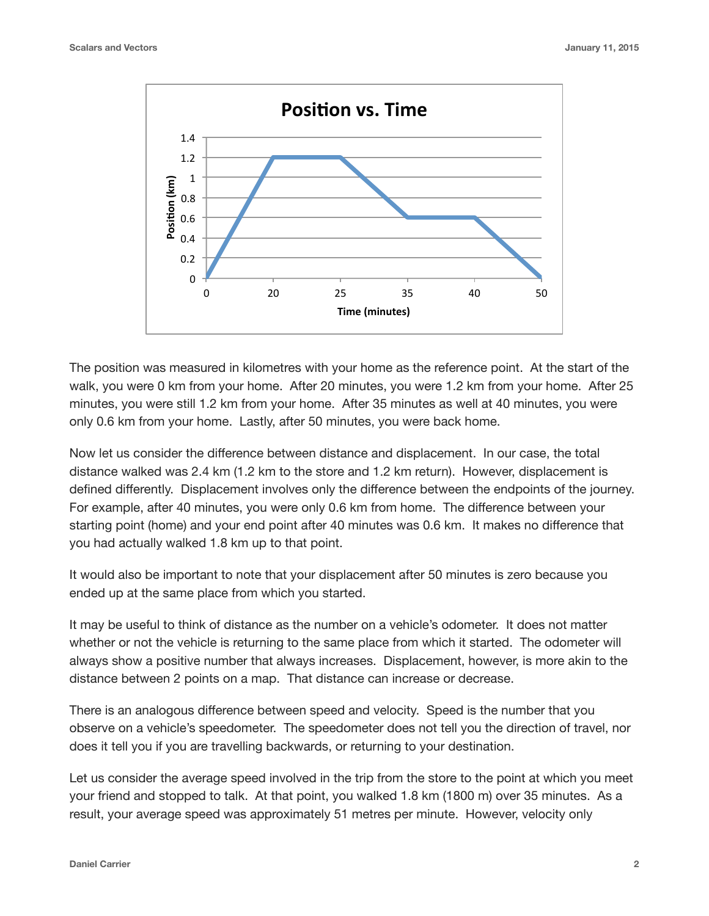

The position was measured in kilometres with your home as the reference point. At the start of the walk, you were 0 km from your home. After 20 minutes, you were 1.2 km from your home. After 25 minutes, you were still 1.2 km from your home. After 35 minutes as well at 40 minutes, you were only 0.6 km from your home. Lastly, after 50 minutes, you were back home.

Now let us consider the difference between distance and displacement. In our case, the total distance walked was 2.4 km (1.2 km to the store and 1.2 km return). However, displacement is defined differently. Displacement involves only the difference between the endpoints of the journey. For example, after 40 minutes, you were only 0.6 km from home. The difference between your starting point (home) and your end point after 40 minutes was 0.6 km. It makes no difference that you had actually walked 1.8 km up to that point.

It would also be important to note that your displacement after 50 minutes is zero because you ended up at the same place from which you started.

It may be useful to think of distance as the number on a vehicle's odometer. It does not matter whether or not the vehicle is returning to the same place from which it started. The odometer will always show a positive number that always increases. Displacement, however, is more akin to the distance between 2 points on a map. That distance can increase or decrease.

There is an analogous difference between speed and velocity. Speed is the number that you observe on a vehicle's speedometer. The speedometer does not tell you the direction of travel, nor does it tell you if you are travelling backwards, or returning to your destination.

Let us consider the average speed involved in the trip from the store to the point at which you meet your friend and stopped to talk. At that point, you walked 1.8 km (1800 m) over 35 minutes. As a result, your average speed was approximately 51 metres per minute. However, velocity only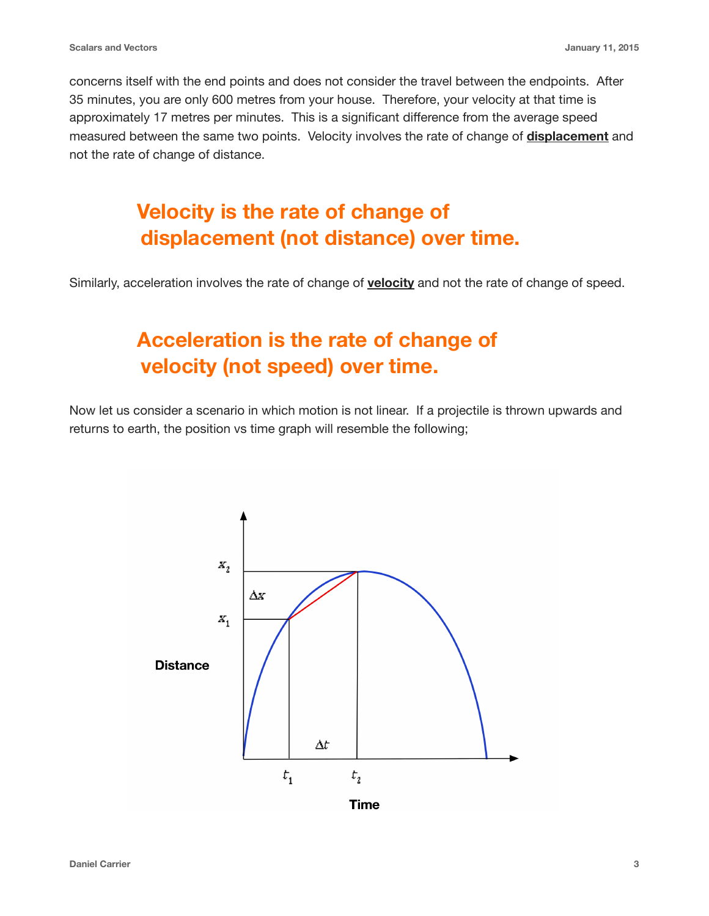concerns itself with the end points and does not consider the travel between the endpoints. After 35 minutes, you are only 600 metres from your house. Therefore, your velocity at that time is approximately 17 metres per minutes. This is a significant difference from the average speed measured between the same two points. Velocity involves the rate of change of **displacement** and not the rate of change of distance.

## **Velocity is the rate of change of displacement (not distance) over time.**

Similarly, acceleration involves the rate of change of **velocity** and not the rate of change of speed.

## **Acceleration is the rate of change of velocity (not speed) over time.**

Now let us consider a scenario in which motion is not linear. If a projectile is thrown upwards and returns to earth, the position vs time graph will resemble the following;

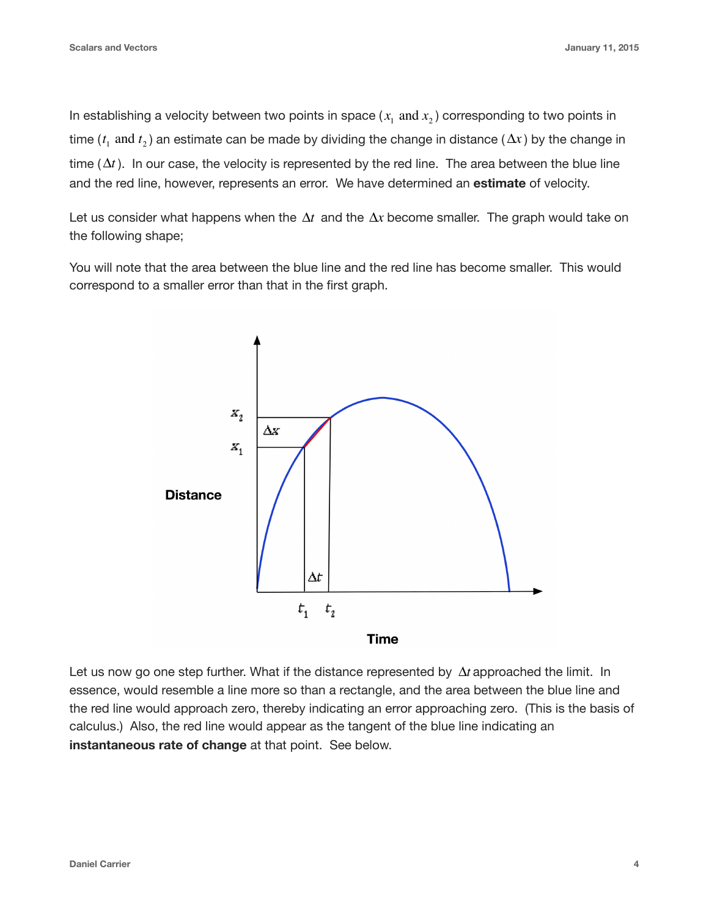In establishing a velocity between two points in space  $(x_{\rm i} \text{ and } x_{\rm 2})$  corresponding to two points in  $t_1$  and  $t_2$ ) an estimate can be made by dividing the change in distance ( $\Delta x$ ) by the change in time  $(\Delta t)$ . In our case, the velocity is represented by the red line. The area between the blue line and the red line, however, represents an error. We have determined an **estimate** of velocity.

Let us consider what happens when the  $\Delta t$  and the  $\Delta x$  become smaller. The graph would take on the following shape;

You will note that the area between the blue line and the red line has become smaller. This would correspond to a smaller error than that in the first graph.



Let us now go one step further. What if the distance represented by  $\Delta t$  approached the limit. In essence, would resemble a line more so than a rectangle, and the area between the blue line and the red line would approach zero, thereby indicating an error approaching zero. (This is the basis of calculus.) Also, the red line would appear as the tangent of the blue line indicating an **instantaneous rate of change** at that point. See below.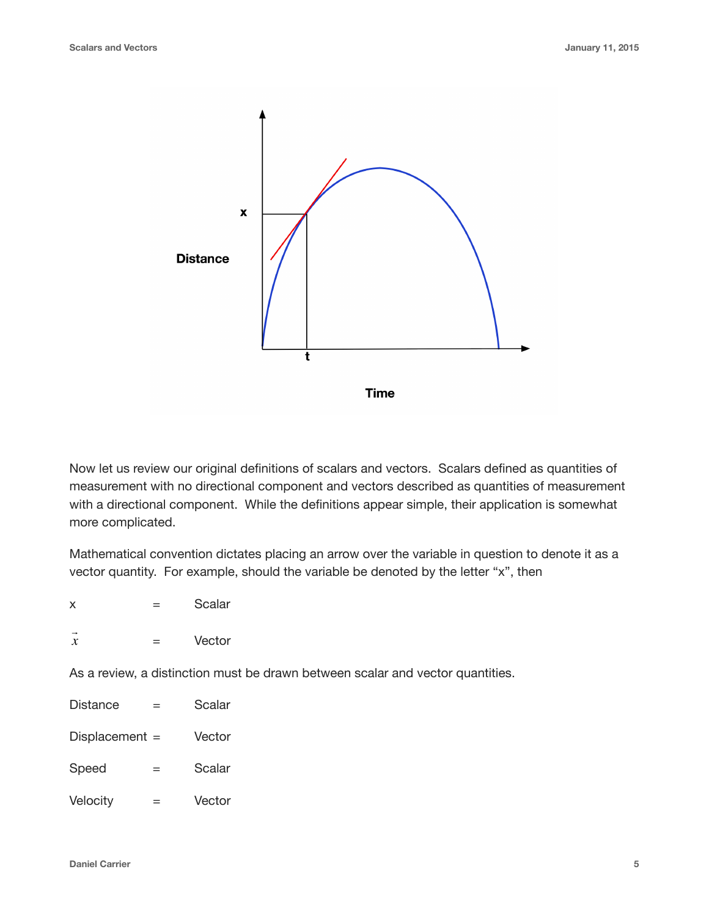

Now let us review our original definitions of scalars and vectors. Scalars defined as quantities of measurement with no directional component and vectors described as quantities of measurement with a directional component. While the definitions appear simple, their application is somewhat more complicated.

Mathematical convention dictates placing an arrow over the variable in question to denote it as a vector quantity. For example, should the variable be denoted by the letter "x", then

 $x =$ Scalar

| <b>1999</b>         |        |        |
|---------------------|--------|--------|
| $\boldsymbol{\chi}$ | –<br>- | Vector |

As a review, a distinction must be drawn between scalar and vector quantities.

Distance = Scalar Displacement = Vector  $Speed =$  Scalar Velocity = Vector